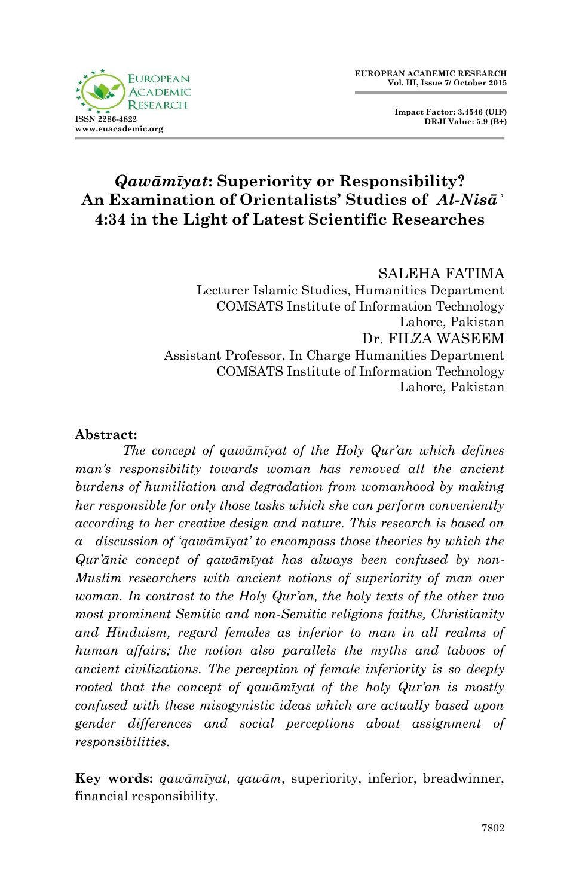

 **Impact Factor: 3.4546 (UIF) DRJI Value: 5.9 (B+)**

# *Qawāmīyat***: Superiority or Responsibility? An Examination of Orientalists' Studies of** *Al-Nisāʾ* **4:34 in the Light of Latest Scientific Researches**

#### SALEHA FATIMA

Lecturer Islamic Studies, Humanities Department COMSATS Institute of Information Technology Lahore, Pakistan Dr. FILZA WASEEM Assistant Professor, In Charge Humanities Department COMSATS Institute of Information Technology Lahore, Pakistan

#### **Abstract:**

*The concept of qawāmīyat of the Holy Qur"an which defines man"s responsibility towards woman has removed all the ancient burdens of humiliation and degradation from womanhood by making her responsible for only those tasks which she can perform conveniently according to her creative design and nature. This research is based on a discussion of "qawāmīyat" to encompass those theories by which the Qur"ānic concept of qawāmīyat has always been confused by non-Muslim researchers with ancient notions of superiority of man over woman. In contrast to the Holy Qur"an, the holy texts of the other two most prominent Semitic and non-Semitic religions faiths, Christianity and Hinduism, regard females as inferior to man in all realms of human affairs; the notion also parallels the myths and taboos of ancient civilizations. The perception of female inferiority is so deeply rooted that the concept of qawāmīyat of the holy Qur"an is mostly confused with these misogynistic ideas which are actually based upon gender differences and social perceptions about assignment of responsibilities.*

**Key words:** *qawāmīyat, qawām*, superiority, inferior, breadwinner, financial responsibility.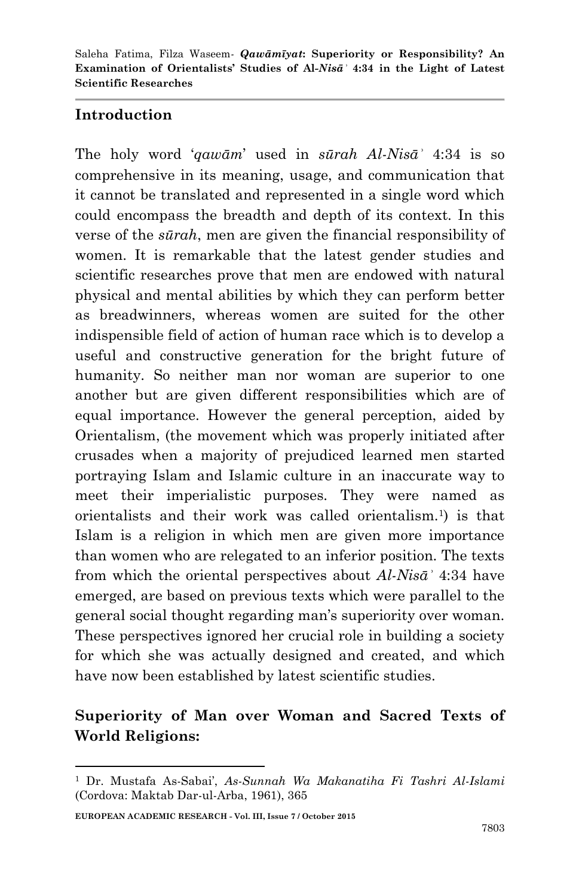#### **Introduction**

The holy word "*qawām*" used in *sūrah Al-Nisāʾ* 4:34 is so comprehensive in its meaning, usage, and communication that it cannot be translated and represented in a single word which could encompass the breadth and depth of its context. In this verse of the *sūrah*, men are given the financial responsibility of women. It is remarkable that the latest gender studies and scientific researches prove that men are endowed with natural physical and mental abilities by which they can perform better as breadwinners, whereas women are suited for the other indispensible field of action of human race which is to develop a useful and constructive generation for the bright future of humanity. So neither man nor woman are superior to one another but are given different responsibilities which are of equal importance. However the general perception, aided by Orientalism, (the movement which was properly initiated after crusades when a majority of prejudiced learned men started portraying Islam and Islamic culture in an inaccurate way to meet their imperialistic purposes. They were named as orientalists and their work was called orientalism.<sup>1</sup> ) is that Islam is a religion in which men are given more importance than women who are relegated to an inferior position. The texts from which the oriental perspectives about *Al-Nisāʾ* 4:34 have emerged, are based on previous texts which were parallel to the general social thought regarding man"s superiority over woman. These perspectives ignored her crucial role in building a society for which she was actually designed and created, and which have now been established by latest scientific studies.

# **Superiority of Man over Woman and Sacred Texts of World Religions:**

<sup>1</sup> Dr. Mustafa As-Sabai", *As-Sunnah Wa Makanatiha Fi Tashri Al-Islami* (Cordova: Maktab Dar-ul-Arba, 1961), 365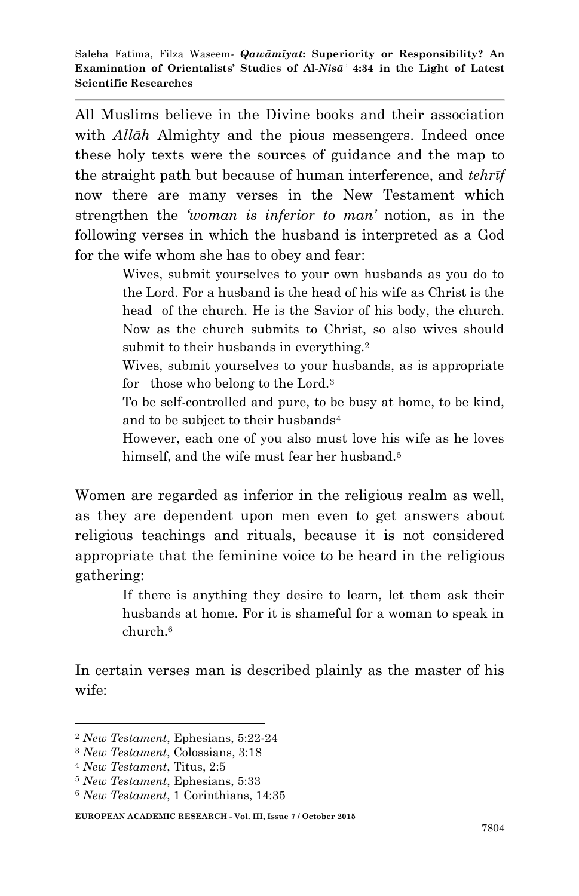All Muslims believe in the Divine books and their association with *Allāh* Almighty and the pious messengers. Indeed once these holy texts were the sources of guidance and the map to the straight path but because of human interference, and *tehrīf* now there are many verses in the New Testament which strengthen the *"woman is inferior to man"* notion, as in the following verses in which the husband is interpreted as a God for the wife whom she has to obey and fear:

> Wives, submit yourselves to your own husbands as you do to the Lord. For a husband is the head of his wife as Christ is the head of the church. He is the Savior of his body, the church. Now as the church submits to Christ, so also wives should submit to their husbands in everything.<sup>2</sup>

> Wives, submit yourselves to your husbands, as is appropriate for those who belong to the Lord.<sup>3</sup>

> To be self-controlled and pure, to be busy at home, to be kind, and to be subject to their husbands<sup>4</sup>

> However, each one of you also must love his wife as he loves himself, and the wife must fear her husband.<sup>5</sup>

Women are regarded as inferior in the religious realm as well, as they are dependent upon men even to get answers about religious teachings and rituals, because it is not considered appropriate that the feminine voice to be heard in the religious gathering:

> If there is anything they desire to learn, let them ask their husbands at home. For it is shameful for a woman to speak in church.<sup>6</sup>

In certain verses man is described plainly as the master of his wife:

-

<sup>2</sup> *New Testament*, Ephesians, 5:22-24

<sup>3</sup> *New Testament*, Colossians, 3:18

<sup>4</sup> *New Testament*, Titus, 2:5

<sup>5</sup> *New Testament*, Ephesians, 5:33

<sup>6</sup> *New Testament*, 1 Corinthians, 14:35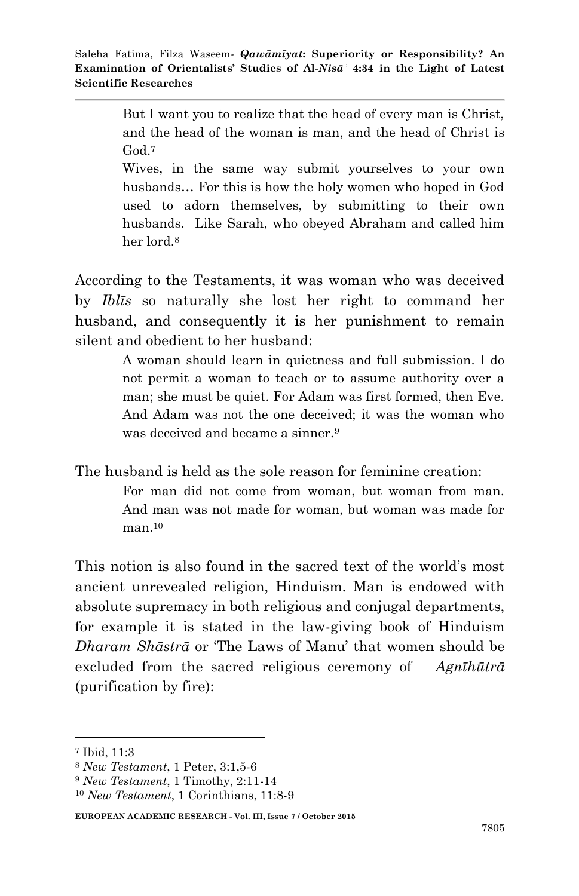But I want you to realize that the head of every man is Christ, and the head of the woman is man, and the head of Christ is God<sup>7</sup>

Wives, in the same way submit yourselves to your own husbands… For this is how the holy women who hoped in God used to adorn themselves, by submitting to their own husbands. Like Sarah, who obeyed Abraham and called him her lord<sup>8</sup>

According to the Testaments, it was woman who was deceived by *Iblīs* so naturally she lost her right to command her husband, and consequently it is her punishment to remain silent and obedient to her husband:

> A woman should learn in quietness and full submission. I do not permit a woman to teach or to assume authority over a man; she must be quiet. For Adam was first formed, then Eve. And Adam was not the one deceived; it was the woman who was deceived and became a sinner.<sup>9</sup>

The husband is held as the sole reason for feminine creation:

For man did not come from woman, but woman from man. And man was not made for woman, but woman was made for  $man.<sup>10</sup>$ 

This notion is also found in the sacred text of the world"s most ancient unrevealed religion, Hinduism. Man is endowed with absolute supremacy in both religious and conjugal departments, for example it is stated in the law-giving book of Hinduism *Dharam Shāstrā* or "The Laws of Manu" that women should be excluded from the sacred religious ceremony of *Agnīhūtrā*  (purification by fire):

**.** 

<sup>7</sup> Ibid, 11:3

<sup>8</sup> *New Testament*, 1 Peter, 3:1,5-6

<sup>9</sup> *New Testament*, 1 Timothy, 2:11-14

<sup>10</sup> *New Testament*, 1 Corinthians, 11:8-9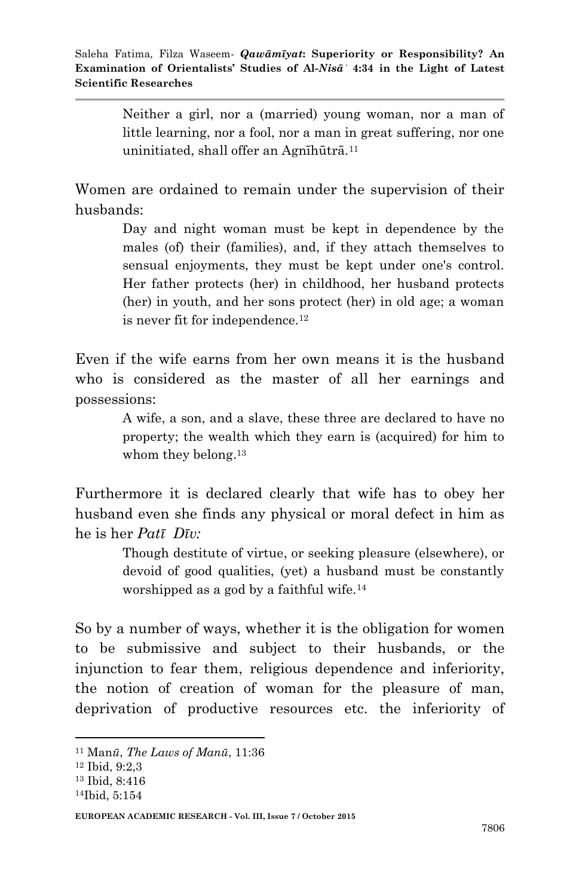Neither a girl, nor a (married) young woman, nor a man of little learning, nor a fool, nor a man in great suffering, nor one uninitiated, shall offer an Agnīhūtrā.<sup>11</sup>

Women are ordained to remain under the supervision of their husbands:

> Day and night woman must be kept in dependence by the males (of) their (families), and, if they attach themselves to sensual enjoyments, they must be kept under one's control. Her father protects (her) in childhood, her husband protects (her) in youth, and her sons protect (her) in old age; a woman is never fit for independence.<sup>12</sup>

Even if the wife earns from her own means it is the husband who is considered as the master of all her earnings and possessions:

> A wife, a son, and a slave, these three are declared to have no property; the wealth which they earn is (acquired) for him to whom they belong.<sup>13</sup>

Furthermore it is declared clearly that wife has to obey her husband even she finds any physical or moral defect in him as he is her *Patī Dīv:*

> Though destitute of virtue, or seeking pleasure (elsewhere), or devoid of good qualities, (yet) a husband must be constantly worshipped as a god by a faithful wife.<sup>14</sup>

So by a number of ways, whether it is the obligation for women to be submissive and subject to their husbands, or the injunction to fear them, religious dependence and inferiority, the notion of creation of woman for the pleasure of man, deprivation of productive resources etc. the inferiority of

<sup>11</sup> Man*ū*, *The Laws of Manū*, 11:36

<sup>12</sup> Ibid, 9:2,3

<sup>13</sup> Ibid, 8:416

<sup>14</sup>Ibid, 5:154

**EUROPEAN ACADEMIC RESEARCH - Vol. III, Issue 7 / October 2015**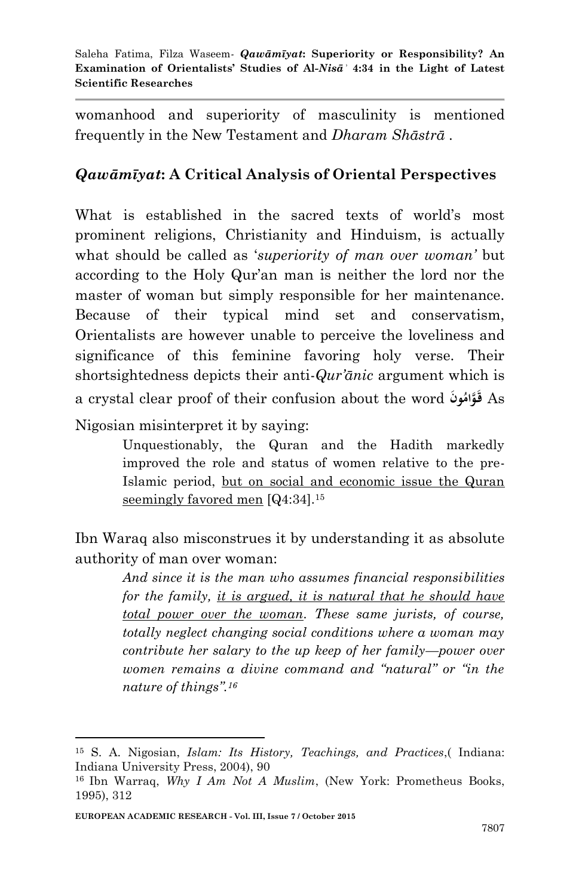womanhood and superiority of masculinity is mentioned frequently in the New Testament and *Dharam Shāstrā* .

#### *Qawāmīyat***: A Critical Analysis of Oriental Perspectives**

What is established in the sacred texts of world's most prominent religions, Christianity and Hinduism, is actually what should be called as "*superiority of man over woman"* but according to the Holy Qur"an man is neither the lord nor the master of woman but simply responsible for her maintenance. Because of their typical mind set and conservatism, Orientalists are however unable to perceive the loveliness and significance of this feminine favoring holy verse. Their shortsightedness depicts their anti-*Qur"ānic* argument which is a crystal clear proof of their confusion about the word **نَو ُ َّوام** As **قَ** 

Nigosian misinterpret it by saying:

Unquestionably, the Quran and the Hadith markedly improved the role and status of women relative to the pre-Islamic period, but on social and economic issue the Quran seemingly favored men [Q4:34].<sup>15</sup>

Ibn Waraq also misconstrues it by understanding it as absolute authority of man over woman:

> *And since it is the man who assumes financial responsibilities for the family, it is argued, it is natural that he should have total power over the woman. These same jurists, of course, totally neglect changing social conditions where a woman may contribute her salary to the up keep of her family—power over women remains a divine command and "natural" or "in the nature of things".<sup>16</sup>*

<sup>15</sup> S. A. Nigosian, *Islam: Its History, Teachings, and Practices*,( Indiana: Indiana University Press, 2004), 90

<sup>16</sup> Ibn Warraq, *Why I Am Not A Muslim*, (New York: Prometheus Books, 1995), 312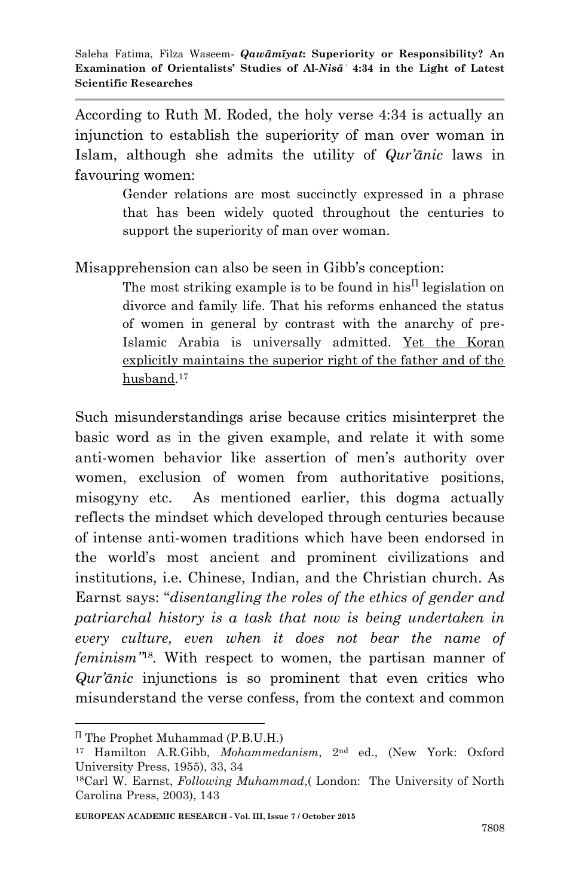According to Ruth M. Roded, the holy verse 4:34 is actually an injunction to establish the superiority of man over woman in Islam, although she admits the utility of *Qur"ānic* laws in favouring women:

> Gender relations are most succinctly expressed in a phrase that has been widely quoted throughout the centuries to support the superiority of man over woman.

Misapprehension can also be seen in Gibb"s conception:

The most striking example is to be found in his<sup> $\Pi$ </sup> legislation on divorce and family life. That his reforms enhanced the status of women in general by contrast with the anarchy of pre-Islamic Arabia is universally admitted. Yet the Koran explicitly maintains the superior right of the father and of the husband. 17

Such misunderstandings arise because critics misinterpret the basic word as in the given example, and relate it with some anti-women behavior like assertion of men"s authority over women, exclusion of women from authoritative positions, misogyny etc. As mentioned earlier, this dogma actually reflects the mindset which developed through centuries because of intense anti-women traditions which have been endorsed in the world"s most ancient and prominent civilizations and institutions, i.e. Chinese, Indian, and the Christian church. As Earnst says: "*disentangling the roles of the ethics of gender and patriarchal history is a task that now is being undertaken in every culture, even when it does not bear the name of feminism"*<sup>18</sup> *.* With respect to women, the partisan manner of *Qur'ānic* injunctions is so prominent that even critics who misunderstand the verse confess, from the context and common

<sup>1</sup> The Prophet Muhammad (P.B.U.H.)

<sup>17</sup> Hamilton A.R.Gibb, *Mohammedanism*, 2nd ed., (New York: Oxford University Press, 1955), 33, 34

<sup>18</sup>Carl W. Earnst, *Following Muhammad*,( London: The University of North Carolina Press, 2003), 143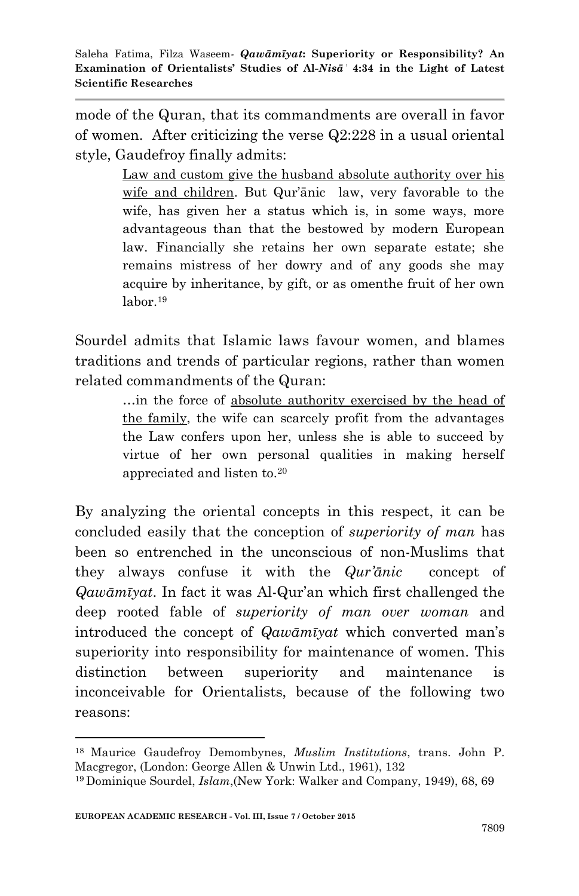mode of the Quran, that its commandments are overall in favor of women. After criticizing the verse Q2:228 in a usual oriental style, Gaudefroy finally admits:

> Law and custom give the husband absolute authority over his wife and children. But Qur"ānic law, very favorable to the wife, has given her a status which is, in some ways, more advantageous than that the bestowed by modern European law. Financially she retains her own separate estate; she remains mistress of her dowry and of any goods she may acquire by inheritance, by gift, or as omenthe fruit of her own labor.<sup>19</sup>

Sourdel admits that Islamic laws favour women, and blames traditions and trends of particular regions, rather than women related commandments of the Quran:

> …in the force of absolute authority exercised by the head of the family, the wife can scarcely profit from the advantages the Law confers upon her, unless she is able to succeed by virtue of her own personal qualities in making herself appreciated and listen to.<sup>20</sup>

By analyzing the oriental concepts in this respect, it can be concluded easily that the conception of *superiority of man* has been so entrenched in the unconscious of non-Muslims that they always confuse it with the *Qur"ānic* concept of *Qawāmīyat*. In fact it was Al-Qur"an which first challenged the deep rooted fable of *superiority of man over woman* and introduced the concept of *Qawāmīyat* which converted man"s superiority into responsibility for maintenance of women. This distinction between superiority and maintenance is inconceivable for Orientalists, because of the following two reasons:

<sup>18</sup>Maurice Gaudefroy Demombynes, *Muslim Institutions*, trans. John P. Macgregor, (London: George Allen & Unwin Ltd., 1961), 132

<sup>19</sup> Dominique Sourdel, *Islam*,(New York: Walker and Company, 1949), 68, 69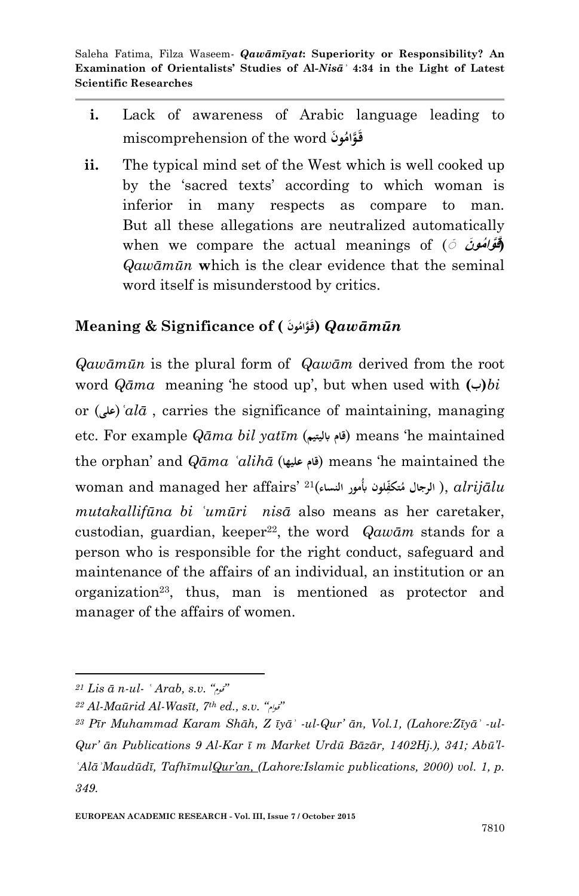- **i.** Lack of awareness of Arabic language leading to miscomprehension of the word **نَو ُ َّوام قَ**
- **ii.** The typical mind set of the West which is well cooked up by the "sacred texts" according to which woman is inferior in many respects as compare to man. But all these allegations are neutralized automatically when we compare the actual meanings of ( **نَ موُ واَّ (<sup>ق</sup> ََ َ** *Qawāmūn* **w**hich is the clear evidence that the seminal word itself is misunderstood by critics.

# $\bm{N}$ eaning & Significance of ( قَوَامُونَا **)**  $\bm{Qaw}$ āmūn

*Qawāmūn* is the plural form of *Qawām* derived from the root word *Qāma* meaning "he stood up", but when used with **(ب(***bi* or (علی**)**  $a l \bar{a}$ , carries the significance of maintaining, managing etc. For example *Qāma bil yatīm* (**ابليتيمَ قام** (means "he maintained the orphan" and *Qāma ʿalihā* (**عليهاَ قام** (means "he maintained the woman and managed her affairs" 21( **لون الرجال ِ تكّف ُ**  *alrijālu* , )**م أبُمور النساء** *mutakallifūna bi ʿumūri nisā* also means as her caretaker, custodian, guardian, keeper<sup>22</sup>, the word *Qawām* stands for a person who is responsible for the right conduct, safeguard and maintenance of the affairs of an individual, an institution or an organization<sup>23</sup>, thus, man is mentioned as protector and manager of the affairs of women.

*<sup>21</sup> Lis ā n-ul- ʿ Arab, s.v. "*قوم*"*

*<sup>22</sup> Al-Maūrid Al-Wasīt, 7th ed., s.v. "*قوام*"*

*<sup>23</sup> Pīr Muhammad Karam Shāh, Z īyāʾ -ul-Qur" ān, Vol.1, (Lahore:Zīyāʾ -ul-Qur" ān Publications 9 Al-Kar ī m Market Urdū Bāzār, 1402Hj.), 341; Abū"l-ʿAlāʾMaudūdī, TafhīmulQur"an, (Lahore:Islamic publications, 2000) vol. 1, p. 349.*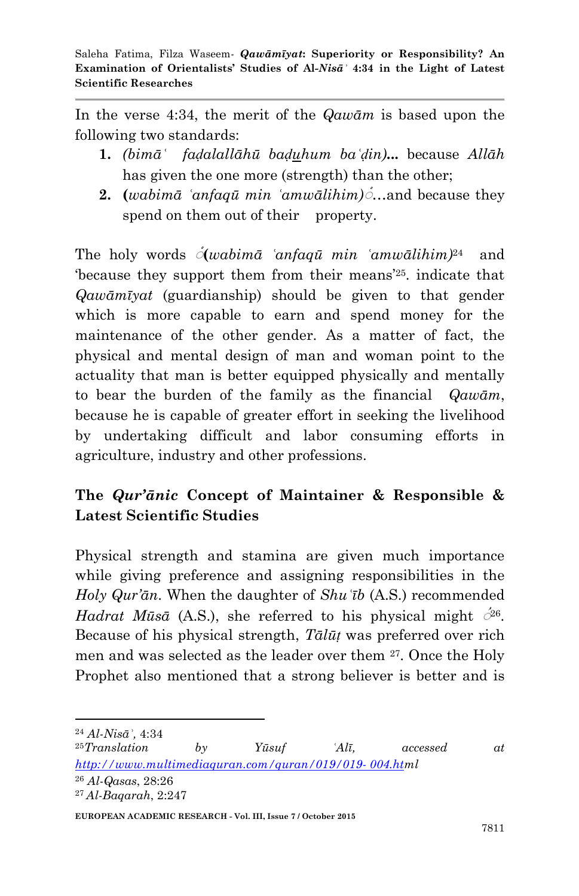In the verse 4:34, the merit of the *Qawām* is based upon the following two standards:

- **1.** *(bimāʿ faḍalallāhū baḍuhum baʿḍin)***...** because *Allāh* has given the one more (strength) than the other;
- **2. (***wabimā ʿanfaqū min ʿamwālihim)***َ** …and because they spend on them out of their property.

The holy words **َ (***wabimā ʿanfaqū min ʿamwālihim)*<sup>24</sup> and because they support them from their means<sup>'25</sup>, indicate that *Qawāmīyat* (guardianship) should be given to that gender which is more capable to earn and spend money for the maintenance of the other gender. As a matter of fact, the physical and mental design of man and woman point to the actuality that man is better equipped physically and mentally to bear the burden of the family as the financial *Qawām*, because he is capable of greater effort in seeking the livelihood by undertaking difficult and labor consuming efforts in agriculture, industry and other professions.

# **The** *Qur'ānic* **Concept of Maintainer & Responsible & Latest Scientific Studies**

Physical strength and stamina are given much importance while giving preference and assigning responsibilities in the *Holy Qur"ān*. When the daughter of *Shuʿīb* (A.S.) recommended *Hadrat Mūsā* (A.S.), she referred to his physical might  $\phi^{26}$ . Because of his physical strength, *Tālūṭ* was preferred over rich men and was selected as the leader over them 27. Once the Holy Prophet also mentioned that a strong believer is better and is

**.** 

<sup>24</sup> *Al-Nisāʾ,* 4:34

<sup>25</sup>*Translation by Yūsuf ʿAlī, accessed at [http://www.multimediaquran.com/quran/019/019-](http://www.multimediaquran.com/quran/019/019-%20004.ht) 004.html* <sup>26</sup> *Al-Qasas*, 28:26 <sup>27</sup> *Al-Baqarah*, 2:247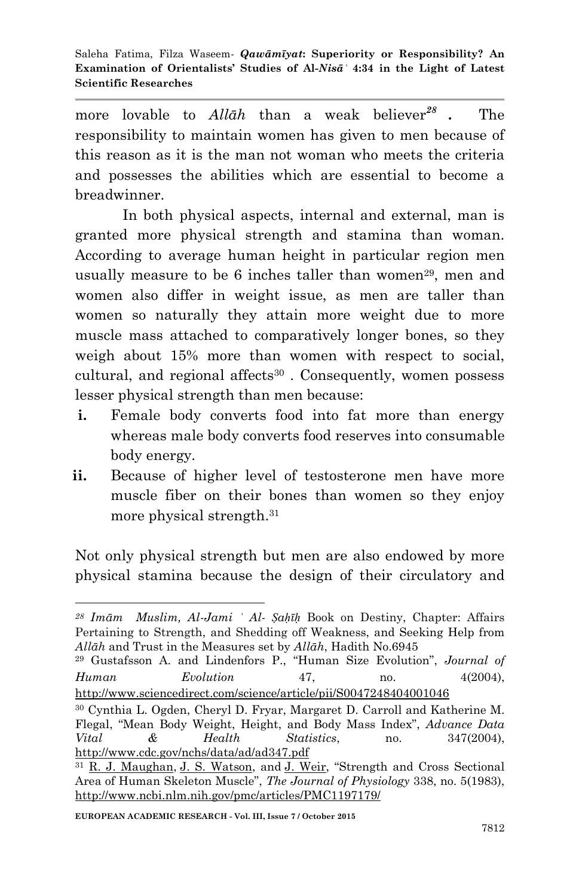more lovable to *Allāh* than a weak believer*<sup>28</sup>* **.** The responsibility to maintain women has given to men because of this reason as it is the man not woman who meets the criteria and possesses the abilities which are essential to become a breadwinner.

In both physical aspects, internal and external, man is granted more physical strength and stamina than woman. According to average human height in particular region men usually measure to be 6 inches taller than women<sup>29</sup>, men and women also differ in weight issue, as men are taller than women so naturally they attain more weight due to more muscle mass attached to comparatively longer bones, so they weigh about 15% more than women with respect to social, cultural, and regional affects<sup>30</sup>. Consequently, women possess lesser physical strength than men because:

- **i.** Female body converts food into fat more than energy whereas male body converts food reserves into consumable body energy.
- **ii.** Because of higher level of testosterone men have more muscle fiber on their bones than women so they enjoy more physical strength.<sup>31</sup>

Not only physical strength but men are also endowed by more physical stamina because the design of their circulatory and

<sup>-</sup>*<sup>28</sup> Imām Muslim, Al-Jami ʾ Al- Ṣaḥīḥ* Book on Destiny, Chapter: Affairs Pertaining to Strength, and Shedding off Weakness, and Seeking Help from *Allāh* and Trust in the Measures set by *Allāh*, Hadith No.6945

<sup>29</sup> Gustafsson A. and Lindenfors P., "Human Size Evolution", *Journal of Human Evolution* 47, no. 4(2004), <http://www.sciencedirect.com/science/article/pii/S0047248404001046>

<sup>30</sup> Cynthia L. Ogden, Cheryl D. Fryar, Margaret D. Carroll and Katherine M. Flegal, "Mean Body Weight, Height, and Body Mass Index", *Advance Data Vital & Health Statistics*, no. 347(2004), <http://www.cdc.gov/nchs/data/ad/ad347.pdf>

<sup>&</sup>lt;sup>31</sup> [R. J. Maughan,](http://www.ncbi.nlm.nih.gov/pubmed/?term=Maughan%20RJ%5Bauth%5D) [J. S. Watson,](http://www.ncbi.nlm.nih.gov/pubmed/?term=Watson%20JS%5Bauth%5D) and [J. Weir,](http://www.ncbi.nlm.nih.gov/pubmed/?term=Weir%20J%5Bauth%5D) "Strength and Cross Sectional Area of Human Skeleton Muscle", *The Journal of Physiology* 338, no. 5(1983), <http://www.ncbi.nlm.nih.gov/pmc/articles/PMC1197179/>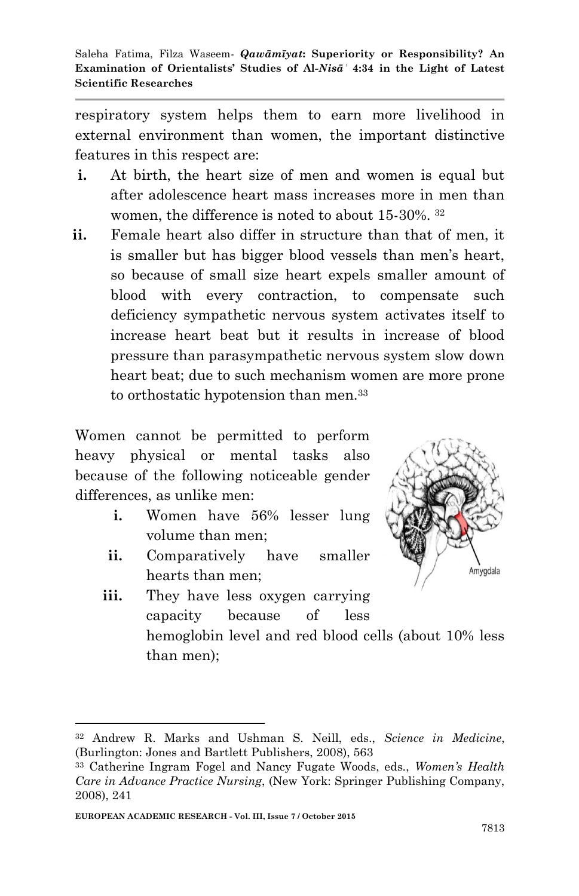respiratory system helps them to earn more livelihood in external environment than women, the important distinctive features in this respect are:

- **i.** At birth, the heart size of men and women is equal but after adolescence heart mass increases more in men than women, the difference is noted to about 15-30%. <sup>32</sup>
- **ii.** Female heart also differ in structure than that of men, it is smaller but has bigger blood vessels than men"s heart, so because of small size heart expels smaller amount of blood with every contraction, to compensate such deficiency sympathetic nervous system activates itself to increase heart beat but it results in increase of blood pressure than parasympathetic nervous system slow down heart beat; due to such mechanism women are more prone to orthostatic hypotension than men.<sup>33</sup>

Women cannot be permitted to perform heavy physical or mental tasks also because of the following noticeable gender differences, as unlike men:

- **i.** Women have 56% lesser lung volume than men;
- **ii.** Comparatively have smaller hearts than men;



**iii.** They have less oxygen carrying capacity because of less hemoglobin level and red blood cells (about 10% less than men);

-

<sup>32</sup> Andrew R. Marks and Ushman S. Neill, eds., *Science in Medicine*, (Burlington: Jones and Bartlett Publishers, 2008), 563

<sup>33</sup> Catherine Ingram Fogel and Nancy Fugate Woods, eds., *Women"s Health Care in Advance Practice Nursing*, (New York: Springer Publishing Company, 2008), 241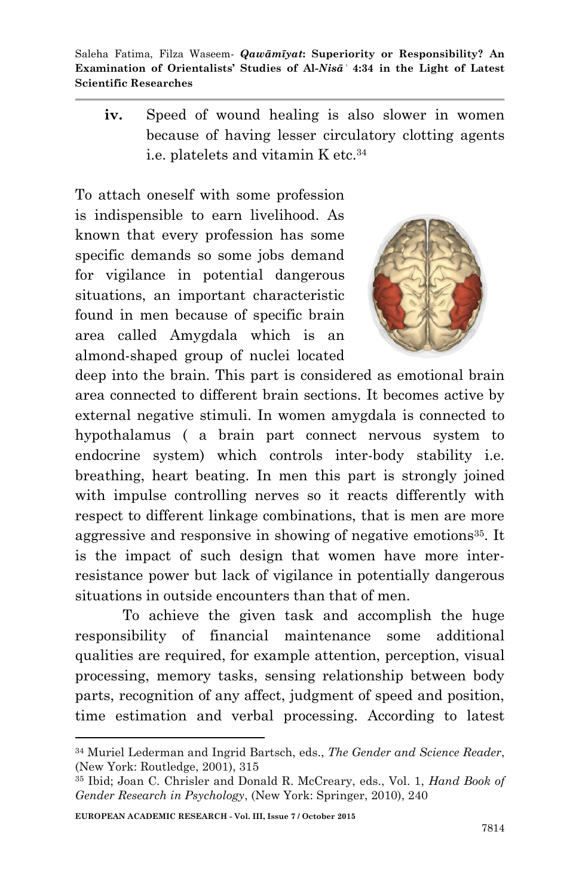**iv.** Speed of wound healing is also slower in women because of having lesser circulatory clotting agents i.e. platelets and vitamin K etc.<sup>34</sup>

To attach oneself with some profession is indispensible to earn livelihood. As known that every profession has some specific demands so some jobs demand for vigilance in potential dangerous situations, an important characteristic found in men because of specific brain area called Amygdala which is an almond-shaped group of nuclei located



deep into the brain. This part is considered as emotional brain area connected to different brain sections. It becomes active by external negative stimuli. In women amygdala is connected to hypothalamus ( a brain part connect nervous system to endocrine system) which controls inter-body stability i.e. breathing, heart beating. In men this part is strongly joined with impulse controlling nerves so it reacts differently with respect to different linkage combinations, that is men are more aggressive and responsive in showing of negative emotions<sup>35</sup>. It is the impact of such design that women have more interresistance power but lack of vigilance in potentially dangerous situations in outside encounters than that of men.

To achieve the given task and accomplish the huge responsibility of financial maintenance some additional qualities are required, for example attention, perception, visual processing, memory tasks, sensing relationship between body parts, recognition of any affect, judgment of speed and position, time estimation and verbal processing. According to latest

**EUROPEAN ACADEMIC RESEARCH - Vol. III, Issue 7 / October 2015**

<sup>34</sup> Muriel Lederman and Ingrid Bartsch, eds., *The Gender and Science Reader*, (New York: Routledge, 2001), 315

<sup>35</sup> Ibid; Joan C. Chrisler and Donald R. McCreary, eds., Vol. 1, *Hand Book of Gender Research in Psychology*, (New York: Springer, 2010), 240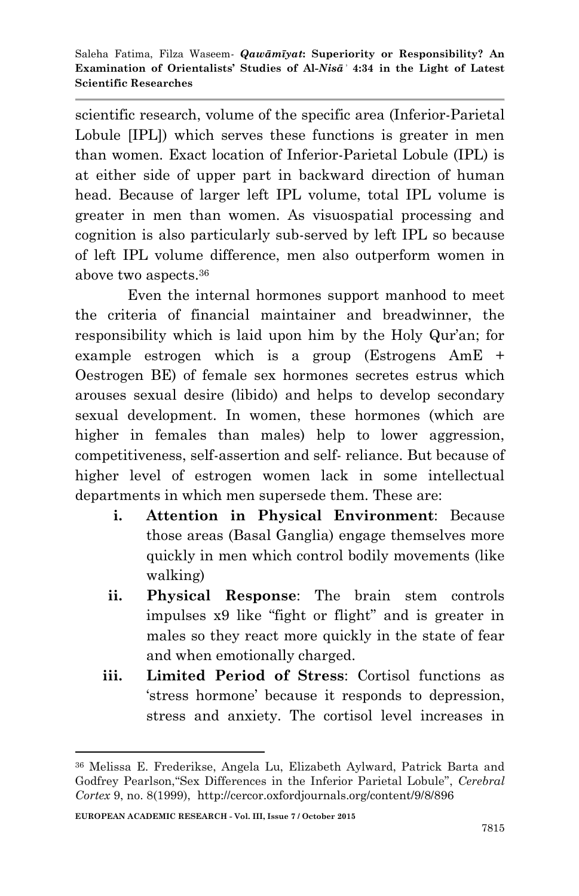scientific research, volume of the specific area (Inferior-Parietal Lobule [IPL]) which serves these functions is greater in men than women. Exact location of Inferior-Parietal Lobule (IPL) is at either side of upper part in backward direction of human head. Because of larger left IPL volume, total IPL volume is greater in men than women. As visuospatial processing and cognition is also particularly sub-served by left IPL so because of left IPL volume difference, men also outperform women in above two aspects.<sup>36</sup>

 Even the internal hormones support manhood to meet the criteria of financial maintainer and breadwinner, the responsibility which is laid upon him by the Holy Qur'an; for example estrogen which is a group (Estrogens AmE + Oestrogen BE) of female sex hormones secretes estrus which arouses sexual desire (libido) and helps to develop secondary sexual development. In women, these hormones (which are higher in females than males) help to lower aggression, competitiveness, self-assertion and self- reliance. But because of higher level of estrogen women lack in some intellectual departments in which men supersede them. These are:

- **i. Attention in Physical Environment**: Because those areas (Basal Ganglia) engage themselves more quickly in men which control bodily movements (like walking)
- **ii. Physical Response**: The brain stem controls impulses x9 like "fight or flight" and is greater in males so they react more quickly in the state of fear and when emotionally charged.
- **iii. Limited Period of Stress**: Cortisol functions as "stress hormone" because it responds to depression, stress and anxiety. The cortisol level increases in

<sup>36</sup> Melissa E. Frederikse, Angela Lu, Elizabeth Aylward, Patrick Barta and Godfrey Pearlson,"Sex Differences in the Inferior Parietal Lobule", *Cerebral Cortex* 9, no. 8(1999), http://cercor.oxfordjournals.org/content/9/8/896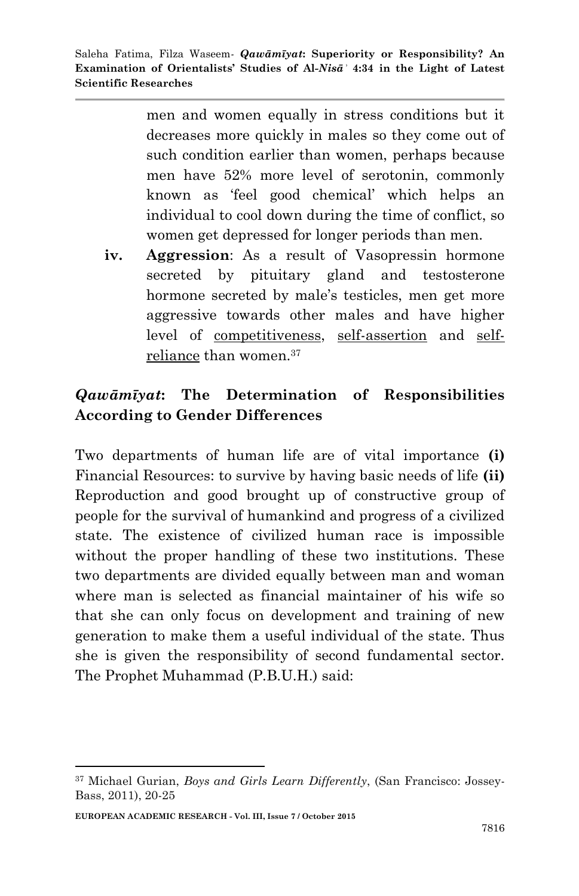> men and women equally in stress conditions but it decreases more quickly in males so they come out of such condition earlier than women, perhaps because men have 52% more level of serotonin, commonly known as "feel good chemical" which helps an individual to cool down during the time of conflict, so women get depressed for longer periods than men.

**iv. Aggression**: As a result of Vasopressin hormone secreted by pituitary gland and testosterone hormone secreted by male's testicles, men get more aggressive towards other males and have higher level of competitiveness, self-assertion and selfreliance than women.<sup>37</sup>

## *Qawāmīyat***: The Determination of Responsibilities According to Gender Differences**

Two departments of human life are of vital importance **(i)** Financial Resources: to survive by having basic needs of life **(ii)** Reproduction and good brought up of constructive group of people for the survival of humankind and progress of a civilized state. The existence of civilized human race is impossible without the proper handling of these two institutions. These two departments are divided equally between man and woman where man is selected as financial maintainer of his wife so that she can only focus on development and training of new generation to make them a useful individual of the state. Thus she is given the responsibility of second fundamental sector. The Prophet Muhammad (P.B.U.H.) said:

**EUROPEAN ACADEMIC RESEARCH - Vol. III, Issue 7 / October 2015**

<sup>37</sup> Michael Gurian, *Boys and Girls Learn Differently*, (San Francisco: Jossey-Bass, 2011), 20-25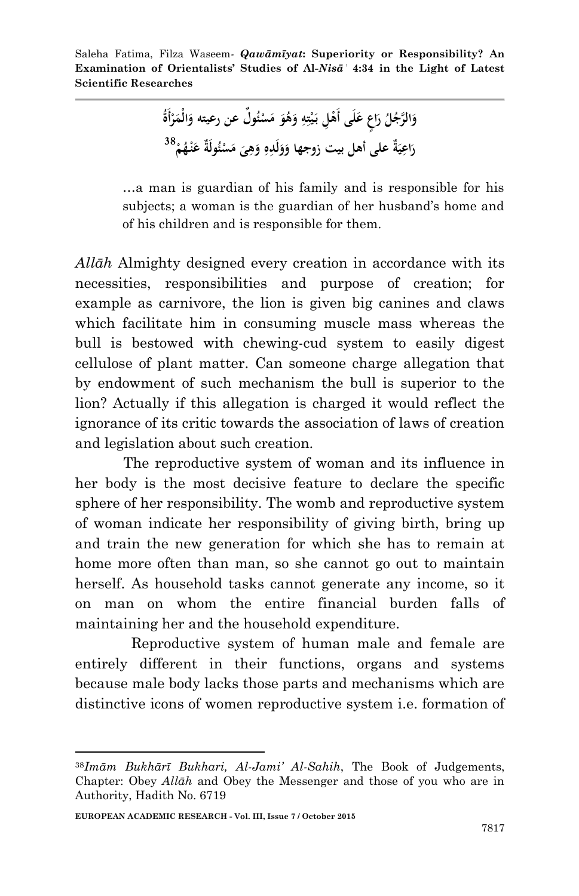> وَالرَّجُلُ رَاعٍ عَلَى أَهْلِ بَيْتِهِ وَهُوَ مَسْئُولٌ عن رعيته وَالْمَرْأَةَ **َ َ ِ ِ ْ َ َ َ ْ ْ َ َ** رَاعِيَةٌ على أهل بيت زوجها وَوَلَدِهِ وَهِيَ مَسْئُولَةٌ عَنْهُمْ<sup>38</sup> **َ ِ ِ َ َ َ ِ َ ْ ْ َ**

…a man is guardian of his family and is responsible for his subjects; a woman is the guardian of her husband"s home and of his children and is responsible for them.

*Allāh* Almighty designed every creation in accordance with its necessities, responsibilities and purpose of creation; for example as carnivore, the lion is given big canines and claws which facilitate him in consuming muscle mass whereas the bull is bestowed with chewing-cud system to easily digest cellulose of plant matter. Can someone charge allegation that by endowment of such mechanism the bull is superior to the lion? Actually if this allegation is charged it would reflect the ignorance of its critic towards the association of laws of creation and legislation about such creation.

 The reproductive system of woman and its influence in her body is the most decisive feature to declare the specific sphere of her responsibility. The womb and reproductive system of woman indicate her responsibility of giving birth, bring up and train the new generation for which she has to remain at home more often than man, so she cannot go out to maintain herself. As household tasks cannot generate any income, so it on man on whom the entire financial burden falls of maintaining her and the household expenditure.

 Reproductive system of human male and female are entirely different in their functions, organs and systems because male body lacks those parts and mechanisms which are distinctive icons of women reproductive system i.e. formation of

<sup>38</sup>*Imām Bukhārī Bukhari, Al-Jami" Al-Sahih*, The Book of Judgements, Chapter: Obey *Allāh* and Obey the Messenger and those of you who are in Authority, Hadith No. 6719

**EUROPEAN ACADEMIC RESEARCH - Vol. III, Issue 7 / October 2015**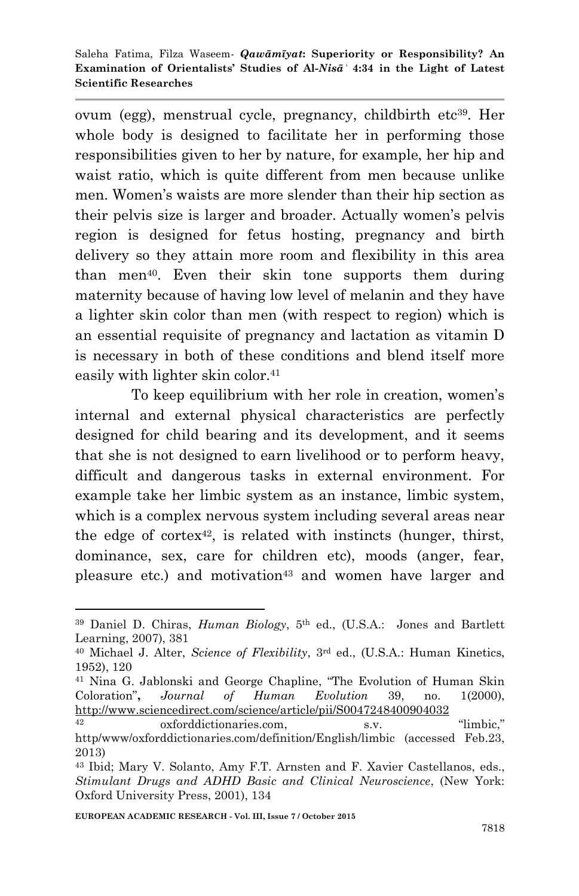ovum (egg), menstrual cycle, pregnancy, childbirth etc<sup>39</sup>. Her whole body is designed to facilitate her in performing those responsibilities given to her by nature, for example, her hip and waist ratio, which is quite different from men because unlike men. Women"s waists are more slender than their hip section as their pelvis size is larger and broader. Actually women"s pelvis region is designed for fetus hosting, pregnancy and birth delivery so they attain more room and flexibility in this area than men40. Even their skin tone supports them during maternity because of having low level of melanin and they have a lighter skin color than men (with respect to region) which is an essential requisite of pregnancy and lactation as vitamin D is necessary in both of these conditions and blend itself more easily with lighter skin color.<sup>41</sup>

 To keep equilibrium with her role in creation, women"s internal and external physical characteristics are perfectly designed for child bearing and its development, and it seems that she is not designed to earn livelihood or to perform heavy, difficult and dangerous tasks in external environment. For example take her limbic system as an instance, limbic system, which is a complex nervous system including several areas near the edge of cortex<sup>42</sup>, is related with instincts (hunger, thirst, dominance, sex, care for children etc), moods (anger, fear, pleasure etc.) and motivation<sup>43</sup> and women have larger and

<sup>39</sup> Daniel D. Chiras, *Human Biology*, 5 th ed., (U.S.A.: Jones and Bartlett Learning, 2007), 381

<sup>&</sup>lt;sup>40</sup> Michael J. Alter, *Science of Flexibility*, 3<sup>rd</sup> ed., (U.S.A.: Human Kinetics, 1952), 120

<sup>41</sup> Nina G. Jablonski and George Chapline, "The Evolution of Human Skin Coloration"**,** *Journal of Human Evolution* 39, no. 1(2000), <http://www.sciencedirect.com/science/article/pii/S0047248400904032>

<sup>42</sup> oxforddictionaries.com, s.v. "limbic," http/www/oxforddictionaries.com/definition/English/limbic (accessed Feb.23, 2013)

<sup>43</sup> Ibid; Mary V. Solanto, Amy F.T. Arnsten and F. Xavier Castellanos, eds., *Stimulant Drugs and ADHD Basic and Clinical Neuroscience*, (New York: Oxford University Press, 2001), 134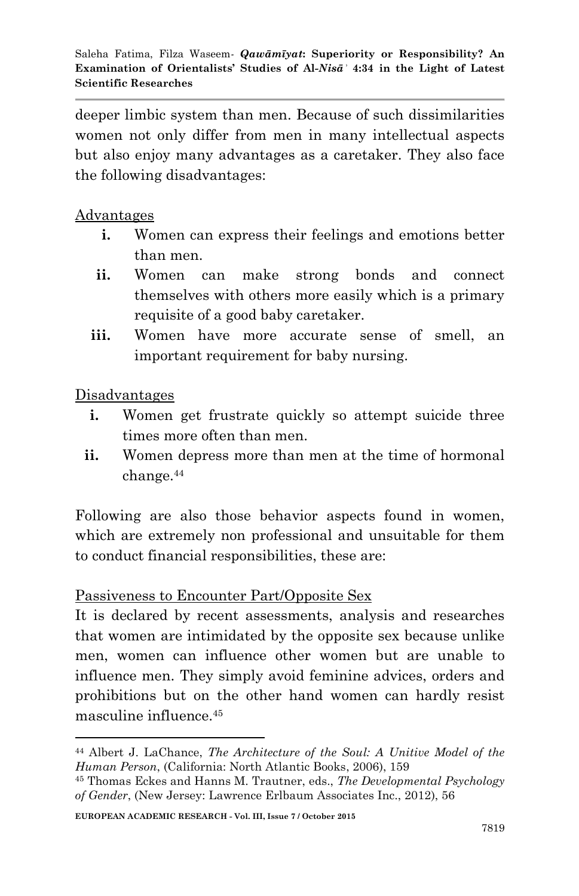deeper limbic system than men. Because of such dissimilarities women not only differ from men in many intellectual aspects but also enjoy many advantages as a caretaker. They also face the following disadvantages:

Advantages

- **i.** Women can express their feelings and emotions better than men.
- **ii.** Women can make strong bonds and connect themselves with others more easily which is a primary requisite of a good baby caretaker.
- iii. Women have more accurate sense of smell, an important requirement for baby nursing.

Disadvantages

- **i.** Women get frustrate quickly so attempt suicide three times more often than men.
- **ii.** Women depress more than men at the time of hormonal change.<sup>44</sup>

Following are also those behavior aspects found in women, which are extremely non professional and unsuitable for them to conduct financial responsibilities, these are:

#### Passiveness to Encounter Part/Opposite Sex

It is declared by recent assessments, analysis and researches that women are intimidated by the opposite sex because unlike men, women can influence other women but are unable to influence men. They simply avoid feminine advices, orders and prohibitions but on the other hand women can hardly resist masculine influence 45

**<sup>.</sup>** <sup>44</sup> Albert J. LaChance, *The Architecture of the Soul: A Unitive Model of the Human Person*, (California: North Atlantic Books, 2006), 159

<sup>45</sup> Thomas Eckes and Hanns M. Trautner, eds., *The Developmental Psychology of Gender*, (New Jersey: Lawrence Erlbaum Associates Inc., 2012), 56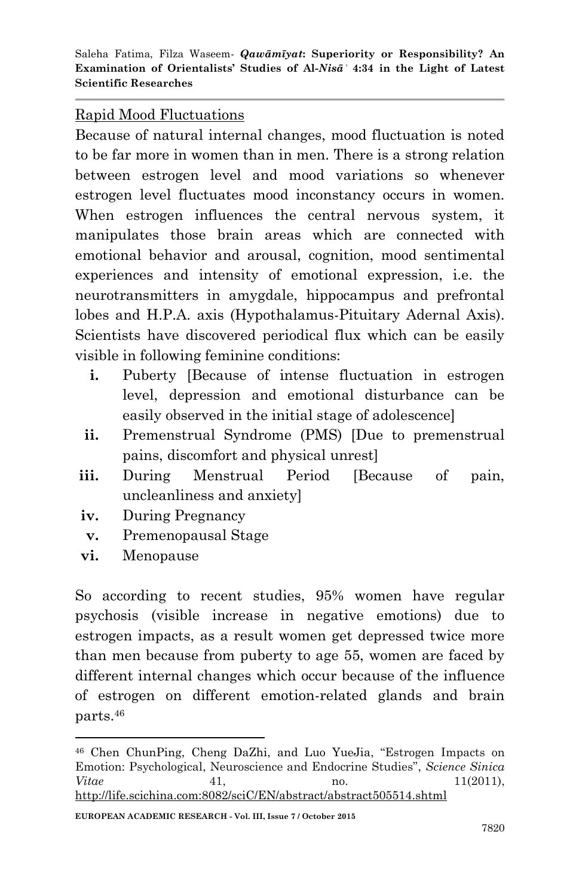#### Rapid Mood Fluctuations

Because of natural internal changes, mood fluctuation is noted to be far more in women than in men. There is a strong relation between estrogen level and mood variations so whenever estrogen level fluctuates mood inconstancy occurs in women. When estrogen influences the central nervous system, it manipulates those brain areas which are connected with emotional behavior and arousal, cognition, mood sentimental experiences and intensity of emotional expression, i.e. the neurotransmitters in amygdale, hippocampus and prefrontal lobes and H.P.A. axis (Hypothalamus-Pituitary Adernal Axis). Scientists have discovered periodical flux which can be easily visible in following feminine conditions:

- **i.** Puberty [Because of intense fluctuation in estrogen level, depression and emotional disturbance can be easily observed in the initial stage of adolescence]
- **ii.** Premenstrual Syndrome (PMS) [Due to premenstrual pains, discomfort and physical unrest]
- **iii.** During Menstrual Period [Because of pain, uncleanliness and anxiety]
- **iv.** During Pregnancy
- **v.** Premenopausal Stage
- **vi.** Menopause

**.** 

So according to recent studies, 95% women have regular psychosis (visible increase in negative emotions) due to estrogen impacts, as a result women get depressed twice more than men because from puberty to age 55, women are faced by different internal changes which occur because of the influence of estrogen on different emotion-related glands and brain parts.<sup>46</sup>

<sup>46</sup> Chen ChunPing, Cheng DaZhi, and Luo YueJia, "Estrogen Impacts on Emotion: Psychological, Neuroscience and Endocrine Studies", *Science Sinica Vitae* 41, no. 11(2011), <http://life.scichina.com:8082/sciC/EN/abstract/abstract505514.shtml>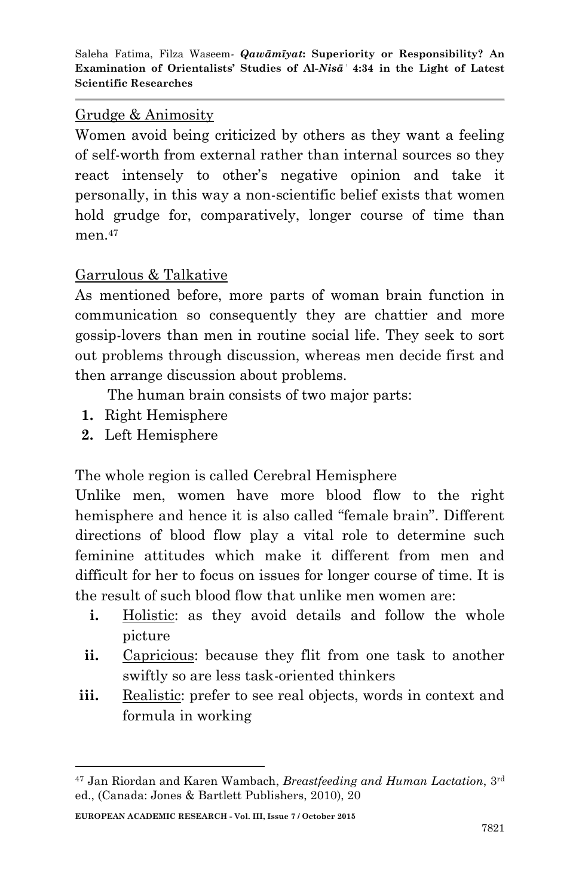#### Grudge & Animosity

Women avoid being criticized by others as they want a feeling of self-worth from external rather than internal sources so they react intensely to other"s negative opinion and take it personally, in this way a non-scientific belief exists that women hold grudge for, comparatively, longer course of time than men $47$ 

### Garrulous & Talkative

As mentioned before, more parts of woman brain function in communication so consequently they are chattier and more gossip-lovers than men in routine social life. They seek to sort out problems through discussion, whereas men decide first and then arrange discussion about problems.

The human brain consists of two major parts:

- **1.** Right Hemisphere
- **2.** Left Hemisphere

1

The whole region is called Cerebral Hemisphere

Unlike men, women have more blood flow to the right hemisphere and hence it is also called "female brain". Different directions of blood flow play a vital role to determine such feminine attitudes which make it different from men and difficult for her to focus on issues for longer course of time. It is the result of such blood flow that unlike men women are:

- **i.** Holistic: as they avoid details and follow the whole picture
- **ii.** Capricious: because they flit from one task to another swiftly so are less task-oriented thinkers
- **iii.** Realistic: prefer to see real objects, words in context and formula in working

<sup>47</sup> Jan Riordan and Karen Wambach, *Breastfeeding and Human Lactation*, 3rd ed., (Canada: Jones & Bartlett Publishers, 2010), 20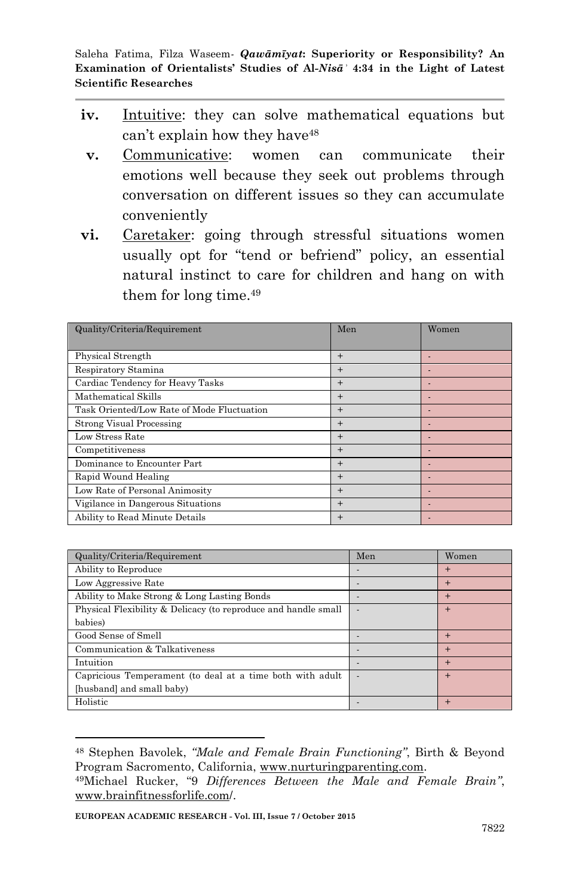- **iv.** Intuitive: they can solve mathematical equations but can't explain how they have<sup>48</sup>
- **v.** Communicative: women can communicate their emotions well because they seek out problems through conversation on different issues so they can accumulate conveniently
- **vi.** Caretaker: going through stressful situations women usually opt for "tend or befriend" policy, an essential natural instinct to care for children and hang on with them for long time.<sup>49</sup>

| Quality/Criteria/Requirement               | Men              | Women |
|--------------------------------------------|------------------|-------|
|                                            |                  |       |
| Physical Strength                          | $+$              |       |
| Respiratory Stamina                        | $+$              |       |
| Cardiac Tendency for Heavy Tasks           | $+$              |       |
| Mathematical Skills                        | $+$              |       |
| Task Oriented/Low Rate of Mode Fluctuation | $+$              |       |
| <b>Strong Visual Processing</b>            | $+$              |       |
| Low Stress Rate                            | $+$              |       |
| Competitiveness                            | $+$              |       |
| Dominance to Encounter Part                | $+$              |       |
| Rapid Wound Healing                        | $+$              |       |
| Low Rate of Personal Animosity             | $+$              |       |
| Vigilance in Dangerous Situations          | $+$              |       |
| Ability to Read Minute Details             | $\boldsymbol{+}$ |       |

| Quality/Criteria/Requirement                                   | Men | Women  |
|----------------------------------------------------------------|-----|--------|
| Ability to Reproduce                                           |     | $\pm$  |
| Low Aggressive Rate                                            |     | $+$    |
| Ability to Make Strong & Long Lasting Bonds                    |     | $+$    |
| Physical Flexibility & Delicacy (to reproduce and handle small |     | $\pm$  |
| babies)                                                        |     |        |
| Good Sense of Smell                                            |     | $+$    |
| Communication & Talkativeness                                  |     | $+$    |
| Intuition                                                      |     | $+$    |
| Capricious Temperament (to deal at a time both with adult      |     | $+$    |
| [husband] and small baby)                                      |     |        |
| Holistic                                                       |     | $\div$ |

<sup>48</sup> Stephen Bavolek, *"Male and Female Brain Functioning"*, Birth & Beyond Program Sacromento, California, [www.nurturingparenting.com.](http://www.nurturingparenting.com/)

<sup>49</sup>Michael Rucker, "9 *Differences Between the Male and Female Brain"*, [www.brainfitnessforlife.com/](http://www.brainfitnessforlife.com/).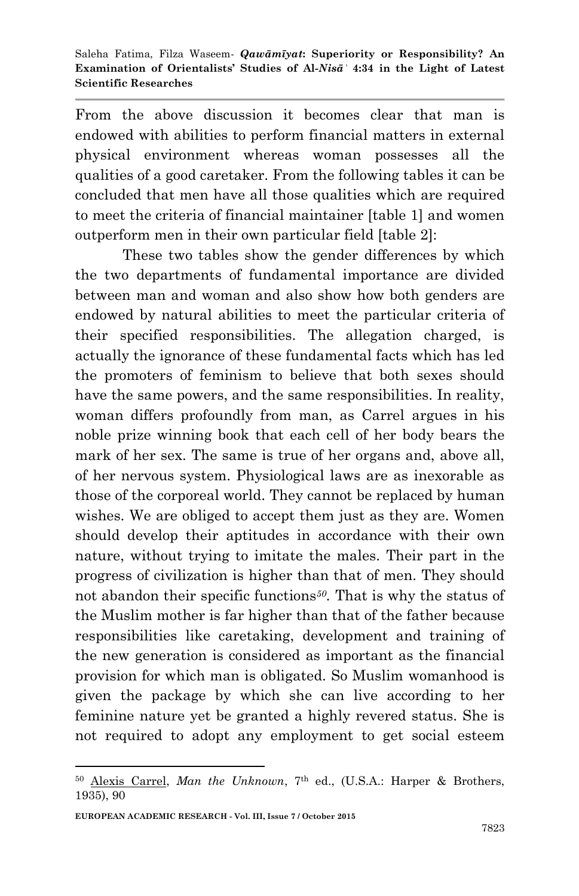From the above discussion it becomes clear that man is endowed with abilities to perform financial matters in external physical environment whereas woman possesses all the qualities of a good caretaker. From the following tables it can be concluded that men have all those qualities which are required to meet the criteria of financial maintainer [table 1] and women outperform men in their own particular field [table 2]:

These two tables show the gender differences by which the two departments of fundamental importance are divided between man and woman and also show how both genders are endowed by natural abilities to meet the particular criteria of their specified responsibilities. The allegation charged, is actually the ignorance of these fundamental facts which has led the promoters of feminism to believe that both sexes should have the same powers, and the same responsibilities. In reality, woman differs profoundly from man, as Carrel argues in his noble prize winning book that each cell of her body bears the mark of her sex. The same is true of her organs and, above all, of her nervous system. Physiological laws are as inexorable as those of the corporeal world. They cannot be replaced by human wishes. We are obliged to accept them just as they are. Women should develop their aptitudes in accordance with their own nature, without trying to imitate the males. Their part in the progress of civilization is higher than that of men. They should not abandon their specific functions*50.* That is why the status of the Muslim mother is far higher than that of the father because responsibilities like caretaking, development and training of the new generation is considered as important as the financial provision for which man is obligated. So Muslim womanhood is given the package by which she can live according to her feminine nature yet be granted a highly revered status. She is not required to adopt any employment to get social esteem

**EUROPEAN ACADEMIC RESEARCH - Vol. III, Issue 7 / October 2015**

<sup>50</sup> [Alexis Carrel,](http://www.google.com.pk/search?hl=en&biw=1280&bih=890&tbm=bks&tbm=bks&q=inauthor:%22Alexis+Carrel%22&sa=X&ei=ehPdUe7TE-Pk4QSx14GgBg&sqi=2&ved=0CDIQ9AgwAQ) *[Man the Unknown](http://books.google.com.pk/books?id=09k3DYaiCcYC&printsec=frontcover&dq=man+the+unknown&hl=en&sa=X&ei=ehPdUe7TE-Pk4QSx14GgBg&sqi=2&ved=0CCsQ6AEwAA)*, 7th ed., (U.S.A.: Harper & Brothers, 1935), 90